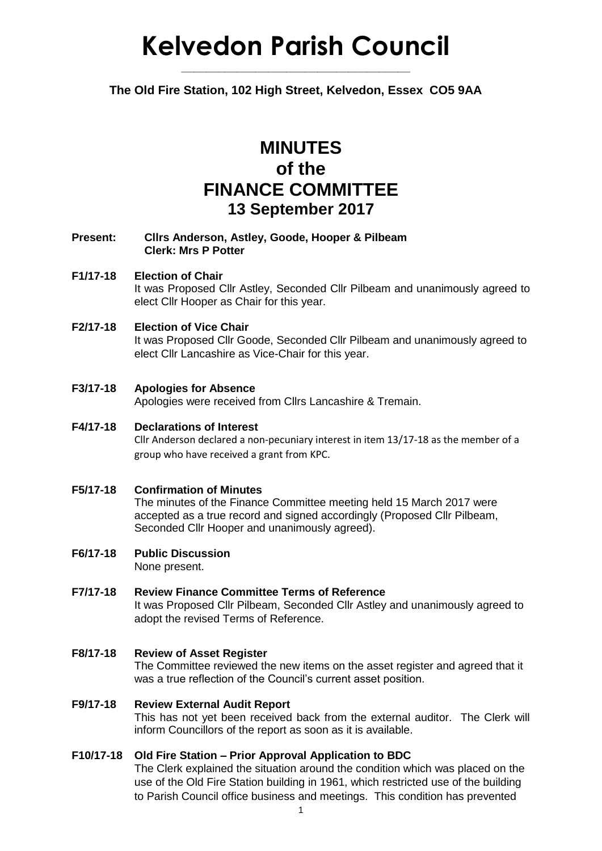# **Kelvedon Parish Council**

**The Old Fire Station, 102 High Street, Kelvedon, Essex CO5 9AA**

**\_\_\_\_\_\_\_\_\_\_\_\_\_\_\_\_\_\_\_\_\_\_\_\_\_\_\_\_\_\_\_\_\_\_\_\_\_**

# **MINUTES of the FINANCE COMMITTEE 13 September 2017**

#### **Present: Cllrs Anderson, Astley, Goode, Hooper & Pilbeam Clerk: Mrs P Potter**

#### **F1/17-18 Election of Chair** It was Proposed Cllr Astley, Seconded Cllr Pilbeam and unanimously agreed to elect Cllr Hooper as Chair for this year.

#### **F2/17-18 Election of Vice Chair** It was Proposed Cllr Goode, Seconded Cllr Pilbeam and unanimously agreed to elect Cllr Lancashire as Vice-Chair for this year.

### **F3/17-18 Apologies for Absence**

Apologies were received from Cllrs Lancashire & Tremain.

## **F4/17-18 Declarations of Interest** Cllr Anderson declared a non-pecuniary interest in item 13/17-18 as the member of a group who have received a grant from KPC.

#### **F5/17-18 Confirmation of Minutes**

The minutes of the Finance Committee meeting held 15 March 2017 were accepted as a true record and signed accordingly (Proposed Cllr Pilbeam, Seconded Cllr Hooper and unanimously agreed).

#### **F6/17-18 Public Discussion** None present.

- **F7/17-18 Review Finance Committee Terms of Reference** It was Proposed Cllr Pilbeam, Seconded Cllr Astley and unanimously agreed to adopt the revised Terms of Reference.
- **F8/17-18 Review of Asset Register** The Committee reviewed the new items on the asset register and agreed that it was a true reflection of the Council's current asset position.

#### **F9/17-18 Review External Audit Report**

This has not yet been received back from the external auditor. The Clerk will inform Councillors of the report as soon as it is available.

#### **F10/17-18 Old Fire Station – Prior Approval Application to BDC**

The Clerk explained the situation around the condition which was placed on the use of the Old Fire Station building in 1961, which restricted use of the building to Parish Council office business and meetings. This condition has prevented